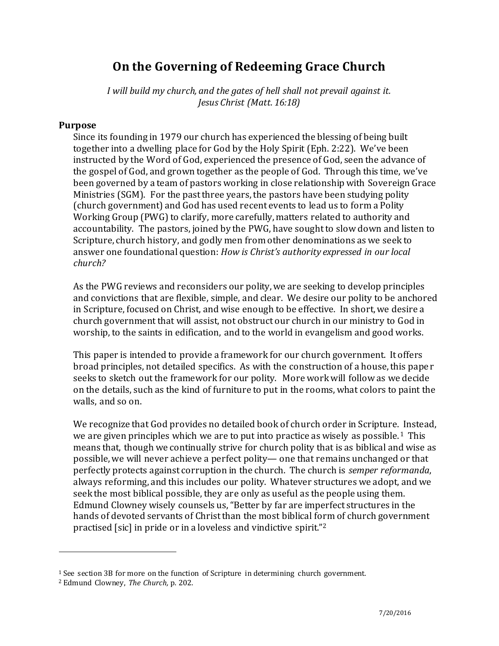# **On the Governing of Redeeming Grace Church**

*I will build my church, and the gates of hell shall not prevail against it. Jesus Christ (Matt. 16:18)* 

#### **Purpose**

Since its founding in 1979 our church has experienced the blessing of being built together into a dwelling place for God by the Holy Spirit (Eph. 2:22). We've been instructed by the Word of God, experienced the presence of God, seen the advance of the gospel of God, and grown together as the people of God. Through this time, we've been governed by a team of pastors working in close relationship with Sovereign Grace Ministries (SGM). For the past three years, the pastors have been studying polity (church government) and God has used recent events to lead us to form a Polity Working Group (PWG) to clarify, more carefully, matters related to authority and accountability. The pastors, joined by the PWG, have sought to slow down and listen to Scripture, church history, and godly men from other denominations as we seek to answer one foundational question: *How is Christ's authority expressed in our local church?*

 As the PWG reviews and reconsiders our polity, we are seeking to develop principles and convictions that are flexible, simple, and clear. We desire our polity to be anchored in Scripture, focused on Christ, and wise enough to be effective. In short, we desire a church government that will assist, not obstruct our church in our ministry to God in worship, to the saints in edification, and to the world in evangelism and good works.

 This paper is intended to provide a framework for our church government. It offers broad principles, not detailed specifics. As with the construction of a house, this pape r seeks to sketch out the framework for our polity. More work will follow as we decide on the details, such as the kind of furniture to put in the rooms, what colors to paint the walls, and so on.

 We recognize that God provides no detailed book of church order in Scripture. Instead, we are given principles which we are to put into practice as wisely as possible.<sup>1</sup> This means that, though we continually strive for church polity that is as biblical and wise as possible, we will never achieve a perfect polity— one that remains unchanged or that perfectly protects against corruption in the church. The church is *semper reformanda*, always reforming, and this includes our polity. Whatever structures we adopt, and we seek the most biblical possible, they are only as useful as the people using them. Edmund Clowney wisely counsels us, "Better by far are imperfect structures in the hands of devoted servants of Christ than the most biblical form of church government practised [sic] in pride or in a loveless and vindictive spirit."<sup>2</sup>

<sup>1</sup> See section 3B for more on the function of Scripture in determining church government.

<sup>2</sup> Edmund Clowney, *The Church,* p. 202.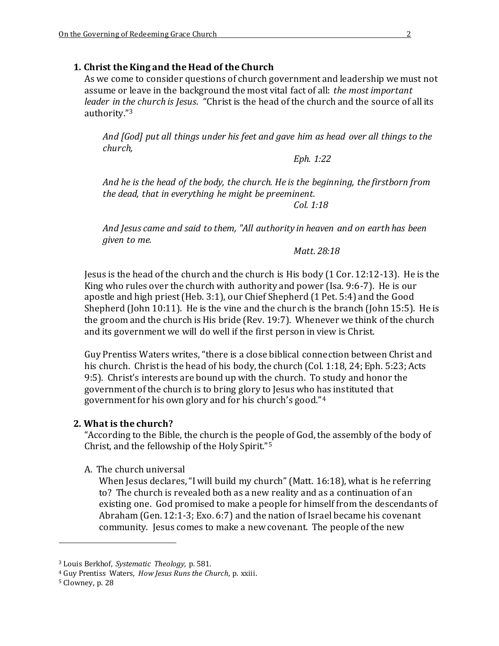#### **1. Christ the King and the Head of the Church**

As we come to consider questions of church government and leadership we must not assume or leave in the background the most vital fact of all: *the most important leader in the church is Jesus*. "Christ is the head of the church and the source of all its authority."<sup>3</sup>

*And [God] put all things under his feet and gave him as head over all things to the church,* 

 *Eph. 1:22* 

*And he is the head of the body, the church. He is the beginning, the firstborn from the dead, that in everything he might be preeminent.* 

 *Col. 1:18* 

*And Jesus came and said to them, "All authority in heaven and on earth has been given to me.* 

*Matt. 28:18* 

Jesus is the head of the church and the church is His body (1 Cor. 12:12-13). He is the King who rules over the church with authority and power (Isa. 9:6-7). He is our apostle and high priest (Heb. 3:1), our Chief Shepherd (1 Pet. 5:4) and the Good Shepherd (John 10:11). He is the vine and the church is the branch (John 15:5). He is the groom and the church is His bride (Rev. 19:7). Whenever we think of the church and its government we will do well if the first person in view is Christ.

Guy Prentiss Waters writes, "there is a close biblical connection between Christ and his church. Christ is the head of his body, the church (Col. 1:18, 24; Eph. 5:23; Acts 9:5). Christ's interests are bound up with the church. To study and honor the government of the church is to bring glory to Jesus who has instituted that government for his own glory and for his church's good."<sup>4</sup>

#### **2. What is the church?**

"According to the Bible, the church is the people of God, the assembly of the body of Christ, and the fellowship of the Holy Spirit."<sup>5</sup>

#### A. The church universal

When Jesus declares, "I will build my church" (Matt. 16:18), what is he referring to? The church is revealed both as a new reality and as a continuation of an existing one. God promised to make a people for himself from the descendants of Abraham (Gen. 12:1-3; Exo. 6:7) and the nation of Israel became his covenant community. Jesus comes to make a new covenant. The people of the new

<sup>3</sup> Louis Berkhof, *Systematic Theology,* p. 581.

<sup>4</sup> Guy Prentiss Waters, *How Jesus Runs the Church*, p. xxiii.

<sup>5</sup> Clowney, p. 28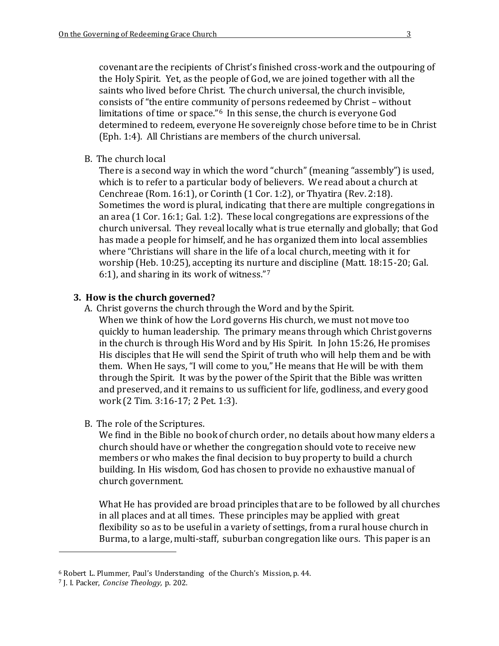covenant are the recipients of Christ's finished cross-work and the outpouring of the Holy Spirit. Yet, as the people of God, we are joined together with all the saints who lived before Christ. The church universal, the church invisible, consists of "the entire community of persons redeemed by Christ – without limitations of time or space."<sup>6</sup> In this sense, the church is everyone God determined to redeem, everyone He sovereignly chose before time to be in Christ (Eph. 1:4). All Christians are members of the church universal.

B. The church local

There is a second way in which the word "church" (meaning "assembly") is used, which is to refer to a particular body of believers. We read about a church at Cenchreae (Rom. 16:1), or Corinth (1 Cor. 1:2), or Thyatira (Rev. 2:18). Sometimes the word is plural, indicating that there are multiple congregations in an area (1 Cor. 16:1; Gal. 1:2). These local congregations are expressions of the church universal. They reveal locally what is true eternally and globally; that God has made a people for himself, and he has organized them into local assemblies where "Christians will share in the life of a local church, meeting with it for worship (Heb. 10:25), accepting its nurture and discipline (Matt. 18:15-20; Gal. 6:1), and sharing in its work of witness."<sup>7</sup>

## **3. How is the church governed?**

- A. Christ governs the church through the Word and by the Spirit.
	- When we think of how the Lord governs His church, we must not move too quickly to human leadership. The primary means through which Christ governs in the church is through His Word and by His Spirit. In John 15:26, He promises His disciples that He will send the Spirit of truth who will help them and be with them. When He says, "I will come to you," He means that He will be with them through the Spirit. It was by the power of the Spirit that the Bible was written and preserved, and it remains to us sufficient for life, godliness, and every good work (2 Tim. 3:16-17; 2 Pet. 1:3).
- B. The role of the Scriptures.

We find in the Bible no book of church order, no details about how many elders a church should have or whether the congregation should vote to receive new members or who makes the final decision to buy property to build a church building. In His wisdom, God has chosen to provide no exhaustive manual of church government.

What He has provided are broad principles that are to be followed by all churches in all places and at all times. These principles may be applied with great flexibility so as to be useful in a variety of settings, from a rural house church in Burma, to a large, multi-staff, suburban congregation like ours. This paper is an

<sup>6</sup> Robert L. Plummer, Paul's Understanding of the Church's Mission, p. 44.

<sup>7</sup> J. I. Packer, *Concise Theology,* p. 202.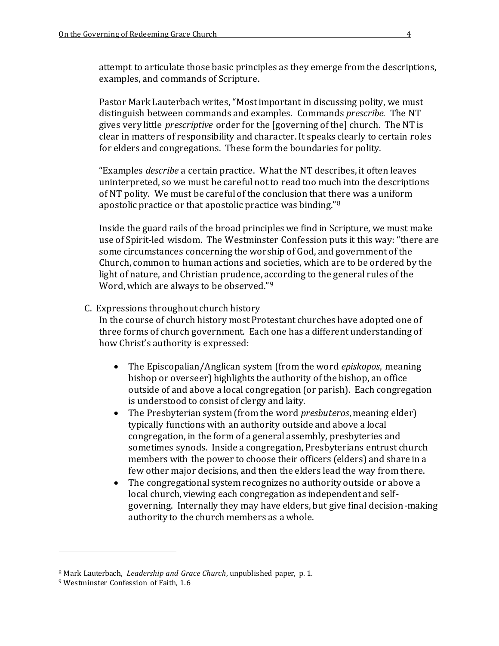attempt to articulate those basic principles as they emerge from the descriptions, examples, and commands of Scripture.

Pastor Mark Lauterbach writes, "Most important in discussing polity, we must distinguish between commands and examples. Commands *prescribe.* The NT gives very little *prescriptive* order for the [governing of the] church. The NT is clear in matters of responsibility and character. It speaks clearly to certain roles for elders and congregations. These form the boundaries for polity.

"Examples *describe* a certain practice. What the NT describes, it often leaves uninterpreted, so we must be careful not to read too much into the descriptions of NT polity. We must be careful of the conclusion that there was a uniform apostolic practice or that apostolic practice was binding."<sup>8</sup>

Inside the guard rails of the broad principles we find in Scripture, we must make use of Spirit-led wisdom. The Westminster Confession puts it this way: "there are some circumstances concerning the worship of God, and government of the Church, common to human actions and societies, which are to be ordered by the light of nature, and Christian prudence, according to the general rules of the Word, which are always to be observed."<sup>9</sup>

#### C. Expressions throughout church history

In the course of church history most Protestant churches have adopted one of three forms of church government. Each one has a different understanding of how Christ's authority is expressed:

- The Episcopalian/Anglican system (from the word *episkopos*, meaning bishop or overseer) highlights the authority of the bishop, an office outside of and above a local congregation (or parish). Each congregation is understood to consist of clergy and laity.
- The Presbyterian system (from the word *presbuteros*, meaning elder) typically functions with an authority outside and above a local congregation, in the form of a general assembly, presbyteries and sometimes synods. Inside a congregation, Presbyterians entrust church members with the power to choose their officers (elders) and share in a few other major decisions, and then the elders lead the way from there.
- The congregational system recognizes no authority outside or above a local church, viewing each congregation as independent and selfgoverning. Internally they may have elders, but give final decision-making authority to the church members as a whole.

<sup>8</sup> Mark Lauterbach, *Leadership and Grace Church*, unpublished paper, p. 1.

<sup>9</sup> Westminster Confession of Faith, 1.6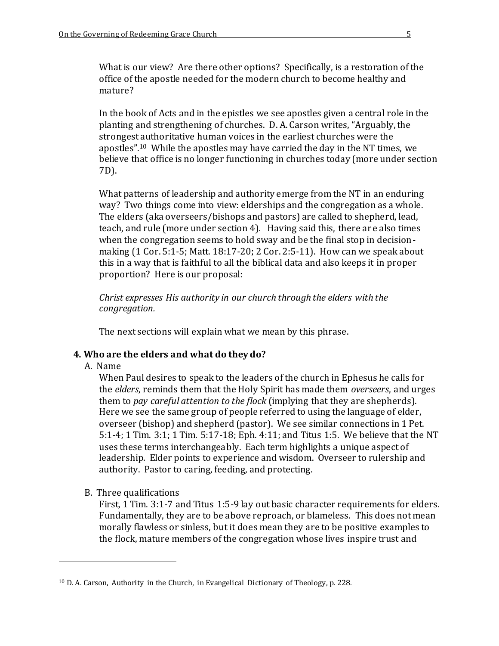What is our view? Are there other options? Specifically, is a restoration of the office of the apostle needed for the modern church to become healthy and mature?

In the book of Acts and in the epistles we see apostles given a central role in the planting and strengthening of churches. D. A. Carson writes, "Arguably, the strongest authoritative human voices in the earliest churches were the apostles".<sup>10</sup> While the apostles may have carried the day in the NT times, we believe that office is no longer functioning in churches today (more under section 7D).

What patterns of leadership and authority emerge from the NT in an enduring way? Two things come into view: elderships and the congregation as a whole. The elders (aka overseers/bishops and pastors) are called to shepherd, lead, teach, and rule (more under section 4). Having said this, there are also times when the congregation seems to hold sway and be the final stop in decisionmaking (1 Cor. 5:1-5; Matt. 18:17-20; 2 Cor. 2:5-11). How can we speak about this in a way that is faithful to all the biblical data and also keeps it in proper proportion? Here is our proposal:

*Christ expresses His authority in our church through the elders with the congregation.* 

The next sections will explain what we mean by this phrase.

#### **4. Who are the elders and what do they do?**

A. Name

 $\overline{a}$ 

When Paul desires to speak to the leaders of the church in Ephesus he calls for the *elders*, reminds them that the Holy Spirit has made them *overseers*, and urges them to *pay careful attention to the flock* (implying that they are shepherds). Here we see the same group of people referred to using the language of elder, overseer (bishop) and shepherd (pastor). We see similar connections in 1 Pet. 5:1-4; 1 Tim. 3:1; 1 Tim. 5:17-18; Eph. 4:11; and Titus 1:5. We believe that the NT uses these terms interchangeably. Each term highlights a unique aspect of leadership. Elder points to experience and wisdom. Overseer to rulership and authority. Pastor to caring, feeding, and protecting.

B. Three qualifications

First, 1 Tim. 3:1-7 and Titus 1:5-9 lay out basic character requirements for elders. Fundamentally, they are to be above reproach, or blameless. This does not mean morally flawless or sinless, but it does mean they are to be positive examples to the flock, mature members of the congregation whose lives inspire trust and

<sup>10</sup> D. A. Carson, Authority in the Church, in Evangelical Dictionary of Theology, p. 228.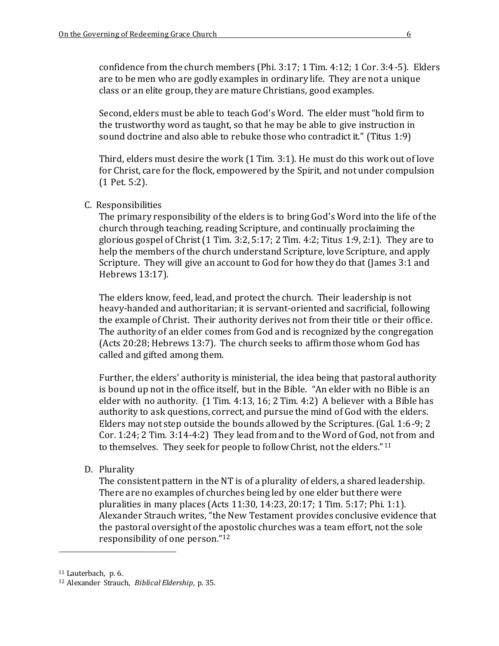confidence from the church members (Phi. 3:17; 1 Tim. 4:12; 1 Cor. 3:4-5). Elders are to be men who are godly examples in ordinary life. They are not a unique class or an elite group, they are mature Christians, good examples.

Second, elders must be able to teach God's Word. The elder must "hold firm to the trustworthy word as taught, so that he may be able to give instruction in sound doctrine and also able to rebuke those who contradict it." (Titus 1:9)

Third, elders must desire the work (1 Tim. 3:1). He must do this work out of love for Christ, care for the flock, empowered by the Spirit, and not under compulsion (1 Pet. 5:2).

#### C. Responsibilities

The primary responsibility of the elders is to bring God's Word into the life of the church through teaching, reading Scripture, and continually proclaiming the glorious gospel of Christ  $(1 \text{ Tim. } 3:2, 5:17; 2 \text{ Tim. } 4:2; \text{ Titus } 1:9, 2:1)$ . They are to help the members of the church understand Scripture, love Scripture, and apply Scripture. They will give an account to God for how they do that (James 3:1 and Hebrews 13:17).

The elders know, feed, lead, and protect the church. Their leadership is not heavy-handed and authoritarian; it is servant-oriented and sacrificial, following the example of Christ. Their authority derives not from their title or their office. The authority of an elder comes from God and is recognized by the congregation (Acts 20:28; Hebrews 13:7). The church seeks to affirm those whom God has called and gifted among them.

Further, the elders' authority is ministerial, the idea being that pastoral authority is bound up not in the office itself, but in the Bible. "An elder with no Bible is an elder with no authority. (1 Tim. 4:13, 16; 2 Tim. 4:2) A believer with a Bible has authority to ask questions, correct, and pursue the mind of God with the elders. Elders may not step outside the bounds allowed by the Scriptures. (Gal. 1:6-9; 2 Cor. 1:24; 2 Tim. 3:14-4:2) They lead from and to the Word of God, not from and to themselves. They seek for people to follow Christ, not the elders."<sup>11</sup>

D. Plurality

The consistent pattern in the NT is of a plurality of elders, a shared leadership. There are no examples of churches being led by one elder but there were pluralities in many places (Acts 11:30, 14:23, 20:17; 1 Tim. 5:17; Phi. 1:1). Alexander Strauch writes, "the New Testament provides conclusive evidence that the pastoral oversight of the apostolic churches was a team effort, not the sole responsibility of one person."<sup>12</sup>

<sup>11</sup> Lauterbach, p. 6.

<sup>12</sup> Alexander Strauch, *Biblical Eldership*, p. 35.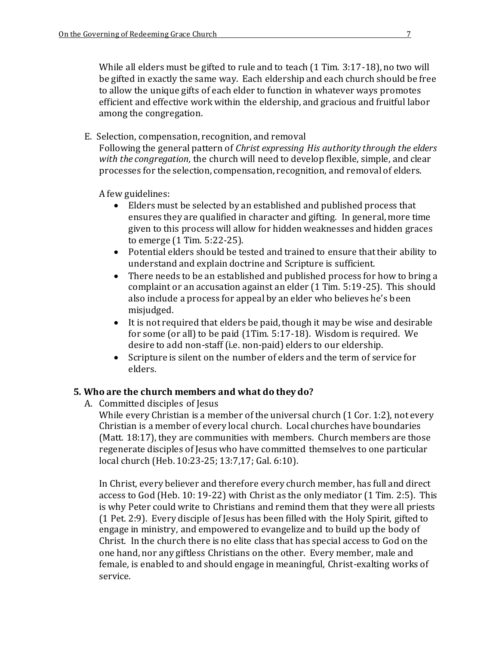While all elders must be gifted to rule and to teach (1 Tim. 3:17-18), no two will be gifted in exactly the same way. Each eldership and each church should be free to allow the unique gifts of each elder to function in whatever ways promotes efficient and effective work within the eldership, and gracious and fruitful labor among the congregation.

E. Selection, compensation, recognition, and removal

Following the general pattern of *Christ expressing His authority through the elders with the congregation,* the church will need to develop flexible, simple, and clear processes for the selection, compensation, recognition, and removal of elders.

A few guidelines:

- Elders must be selected by an established and published process that ensures they are qualified in character and gifting. In general, more time given to this process will allow for hidden weaknesses and hidden graces to emerge (1 Tim. 5:22-25).
- Potential elders should be tested and trained to ensure that their ability to understand and explain doctrine and Scripture is sufficient.
- There needs to be an established and published process for how to bring a complaint or an accusation against an elder (1 Tim. 5:19-25). This should also include a process for appeal by an elder who believes he's been misjudged.
- It is not required that elders be paid, though it may be wise and desirable for some (or all) to be paid (1Tim. 5:17-18). Wisdom is required. We desire to add non-staff (i.e. non-paid) elders to our eldership.
- Scripture is silent on the number of elders and the term of service for elders.

#### **5. Who are the church members and what do they do?**

A. Committed disciples of Jesus

While every Christian is a member of the universal church (1 Cor. 1:2), not every Christian is a member of every local church. Local churches have boundaries (Matt. 18:17), they are communities with members. Church members are those regenerate disciples of Jesus who have committed themselves to one particular local church (Heb. 10:23-25; 13:7,17; Gal. 6:10).

In Christ, every believer and therefore every church member, has full and direct access to God (Heb. 10: 19-22) with Christ as the only mediator (1 Tim. 2:5). This is why Peter could write to Christians and remind them that they were all priests (1 Pet. 2:9). Every disciple of Jesus has been filled with the Holy Spirit, gifted to engage in ministry, and empowered to evangelize and to build up the body of Christ. In the church there is no elite class that has special access to God on the one hand, nor any giftless Christians on the other. Every member, male and female, is enabled to and should engage in meaningful, Christ-exalting works of service.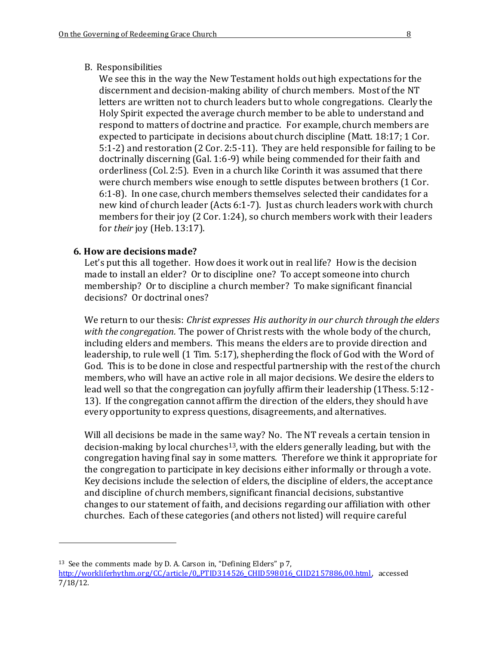We see this in the way the New Testament holds out high expectations for the discernment and decision-making ability of church members. Most of the NT letters are written not to church leaders but to whole congregations. Clearly the Holy Spirit expected the average church member to be able to understand and respond to matters of doctrine and practice. For example, church members are expected to participate in decisions about church discipline (Matt. 18:17; 1 Cor. 5:1-2) and restoration (2 Cor. 2:5-11). They are held responsible for failing to be doctrinally discerning (Gal. 1:6-9) while being commended for their faith and orderliness (Col. 2:5). Even in a church like Corinth it was assumed that there were church members wise enough to settle disputes between brothers (1 Cor. 6:1-8). In one case, church members themselves selected their candidates for a new kind of church leader (Acts 6:1-7). Just as church leaders work with church members for their joy (2 Cor. 1:24), so church members work with their leaders for *their* joy (Heb. 13:17).

### **6. How are decisions made?**

 $\overline{a}$ 

Let's put this all together. How does it work out in real life? How is the decision made to install an elder? Or to discipline one? To accept someone into church membership? Or to discipline a church member? To make significant financial decisions? Or doctrinal ones?

We return to our thesis: *Christ expresses His authority in our church through the elders with the congregation.* The power of Christ rests with the whole body of the church, including elders and members. This means the elders are to provide direction and leadership, to rule well (1 Tim. 5:17), shepherding the flock of God with the Word of God. This is to be done in close and respectful partnership with the rest of the church members, who will have an active role in all major decisions. We desire the elders to lead well so that the congregation can joyfully affirm their leadership (1Thess. 5:12 - 13). If the congregation cannot affirm the direction of the elders, they should h ave every opportunity to express questions, disagreements, and alternatives.

Will all decisions be made in the same way? No. The NT reveals a certain tension in decision-making by local churches<sup>13</sup>, with the elders generally leading, but with the congregation having final say in some matters. Therefore we think it appropriate for the congregation to participate in key decisions either informally or through a vote. Key decisions include the selection of elders, the discipline of elders, the acceptance and discipline of church members, significant financial decisions, substantive changes to our statement of faith, and decisions regarding our affiliation with other churches. Each of these categories (and others not listed) will require careful

<sup>13</sup> See the comments made by D. A. Carson in, "Defining Elders" p 7, [http://workliferhythm.org/CC/article/0,,PTID314526\\_CHID598016\\_CIID2157886,00.html,](http://workliferhythm.org/CC/article/0,,PTID314526_CHID598016_CIID2157886,00.html) accessed 7/18/12.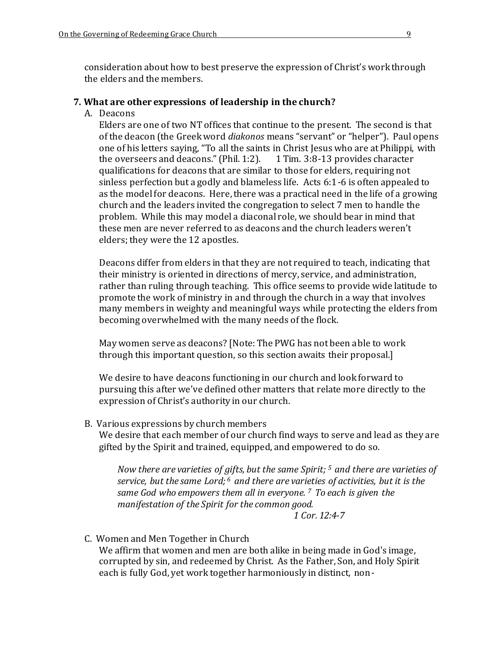consideration about how to best preserve the expression of Christ's work through the elders and the members.

#### **7. What are other expressions of leadership in the church?**

A. Deacons

Elders are one of two NT offices that continue to the present. The second is that of the deacon (the Greek word *diakonos* means "servant" or "helper"). Paul opens one of his letters saying, "To all the saints in Christ Jesus who are at Philippi, with the overseers and deacons." (Phil. 1:2). 1 Tim. 3:8-13 provides character the overseers and deacons." (Phil. 1:2). qualifications for deacons that are similar to those for elders, requiring not sinless perfection but a godly and blameless life. Acts 6:1-6 is often appealed to as the model for deacons. Here, there was a practical need in the life of a growing church and the leaders invited the congregation to select 7 men to handle the problem. While this may model a diaconal role, we should bear in mind that these men are never referred to as deacons and the church leaders weren't elders; they were the 12 apostles.

Deacons differ from elders in that they are not required to teach, indicating that their ministry is oriented in directions of mercy, service, and administration, rather than ruling through teaching. This office seems to provide wide latitude to promote the work of ministry in and through the church in a way that involves many members in weighty and meaningful ways while protecting the elders from becoming overwhelmed with the many needs of the flock.

May women serve as deacons? [Note: The PWG has not been able to work through this important question, so this section awaits their proposal.]

We desire to have deacons functioning in our church and look forward to pursuing this after we've defined other matters that relate more directly to the expression of Christ's authority in our church.

B. Various expressions by church members

We desire that each member of our church find ways to serve and lead as they are gifted by the Spirit and trained, equipped, and empowered to do so.

*Now there are varieties of gifts, but the same Spirit; <sup>5</sup>and there are varieties of service, but the same Lord; <sup>6</sup>and there are varieties of activities, but it is the same God who empowers them all in everyone. <sup>7</sup>To each is given the manifestation of the Spirit for the common good. 1 Cor. 12:4-7* 

C. Women and Men Together in Church We affirm that women and men are both alike in being made in God's image, corrupted by sin, and redeemed by Christ. As the Father, Son, and Holy Spirit each is fully God, yet work together harmoniously in distinct, non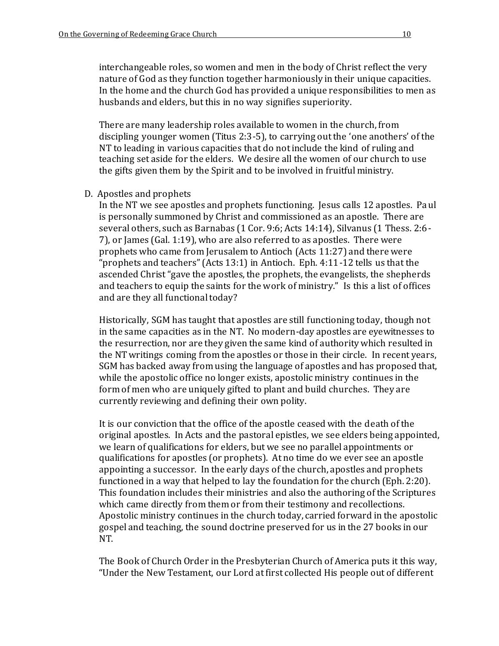interchangeable roles, so women and men in the body of Christ reflect the very nature of God as they function together harmoniously in their unique capacities. In the home and the church God has provided a unique responsibilities to men as husbands and elders, but this in no way signifies superiority.

There are many leadership roles available to women in the church, from discipling younger women (Titus 2:3-5), to carrying out the 'one anothers' of the NT to leading in various capacities that do not include the kind of ruling and teaching set aside for the elders. We desire all the women of our church to use the gifts given them by the Spirit and to be involved in fruitful ministry.

#### D. Apostles and prophets

In the NT we see apostles and prophets functioning. Jesus calls 12 apostles. Pa ul is personally summoned by Christ and commissioned as an apostle. There are several others, such as Barnabas (1 Cor. 9:6; Acts 14:14), Silvanus (1 Thess. 2:6 - 7), or James (Gal. 1:19), who are also referred to as apostles. There were prophets who came from Jerusalem to Antioch (Acts 11:27) and there were "prophets and teachers" (Acts 13:1) in Antioch. Eph. 4:11-12 tells us that the ascended Christ "gave the apostles, the prophets, the evangelists, the shepherds and teachers to equip the saints for the work of ministry." Is this a list of offices and are they all functional today?

Historically, SGM has taught that apostles are still functioning today, though not in the same capacities as in the NT. No modern-day apostles are eyewitnesses to the resurrection, nor are they given the same kind of authority which resulted in the NT writings coming from the apostles or those in their circle. In recent years, SGM has backed away from using the language of apostles and has proposed that, while the apostolic office no longer exists, apostolic ministry continues in the form of men who are uniquely gifted to plant and build churches. They are currently reviewing and defining their own polity.

It is our conviction that the office of the apostle ceased with the death of the original apostles. In Acts and the pastoral epistles, we see elders being appointed, we learn of qualifications for elders, but we see no parallel appointments or qualifications for apostles (or prophets). At no time do we ever see an apostle appointing a successor. In the early days of the church, apostles and prophets functioned in a way that helped to lay the foundation for the church (Eph. 2:20). This foundation includes their ministries and also the authoring of the Scriptures which came directly from them or from their testimony and recollections. Apostolic ministry continues in the church today, carried forward in the apostolic gospel and teaching, the sound doctrine preserved for us in the 27 books in our NT.

The Book of Church Order in the Presbyterian Church of America puts it this way, "Under the New Testament, our Lord at first collected His people out of different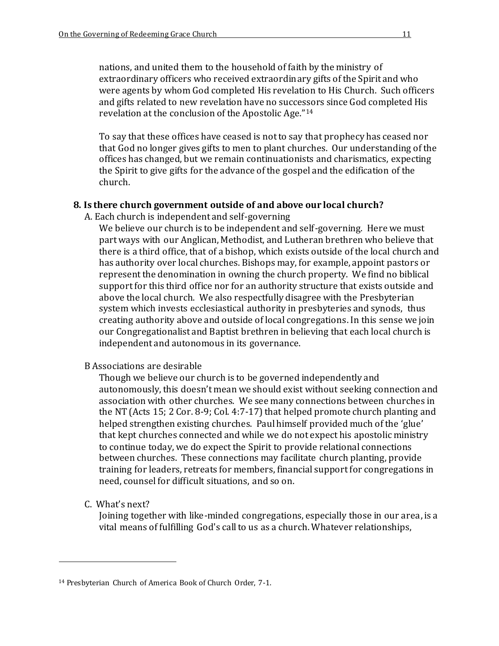nations, and united them to the household of faith by the ministry of extraordinary officers who received extraordinary gifts of the Spirit and who were agents by whom God completed His revelation to His Church. Such officers and gifts related to new revelation have no successors since God completed His revelation at the conclusion of the Apostolic Age."<sup>14</sup>

To say that these offices have ceased is not to say that prophecy has ceased nor that God no longer gives gifts to men to plant churches. Our understanding of the offices has changed, but we remain continuationists and charismatics, expecting the Spirit to give gifts for the advance of the gospel and the edification of the church.

#### **8. Is there church government outside of and above our local church?**

A. Each church is independent and self-governing

We believe our church is to be independent and self-governing. Here we must part ways with our Anglican, Methodist, and Lutheran brethren who believe that there is a third office, that of a bishop, which exists outside of the local church and has authority over local churches. Bishops may, for example, appoint pastors or represent the denomination in owning the church property. We find no biblical support for this third office nor for an authority structure that exists outside and above the local church. We also respectfully disagree with the Presbyterian system which invests ecclesiastical authority in presbyteries and synods, thus creating authority above and outside of local congregations. In this sense we join our Congregationalist and Baptist brethren in believing that each local church is independent and autonomous in its governance.

B Associations are desirable

Though we believe our church is to be governed independently and autonomously, this doesn't mean we should exist without seeking connection and association with other churches. We see many connections between churches in the NT (Acts 15; 2 Cor. 8-9; Col. 4:7-17) that helped promote church planting and helped strengthen existing churches. Paul himself provided much of the 'glue' that kept churches connected and while we do not expect his apostolic ministry to continue today, we do expect the Spirit to provide relational connections between churches. These connections may facilitate church planting, provide training for leaders, retreats for members, financial support for congregations in need, counsel for difficult situations, and so on.

C. What's next?

 $\overline{a}$ 

Joining together with like-minded congregations, especially those in our area, is a vital means of fulfilling God's call to us as a church. Whatever relationships,

<sup>14</sup> Presbyterian Church of America Book of Church Order, 7-1.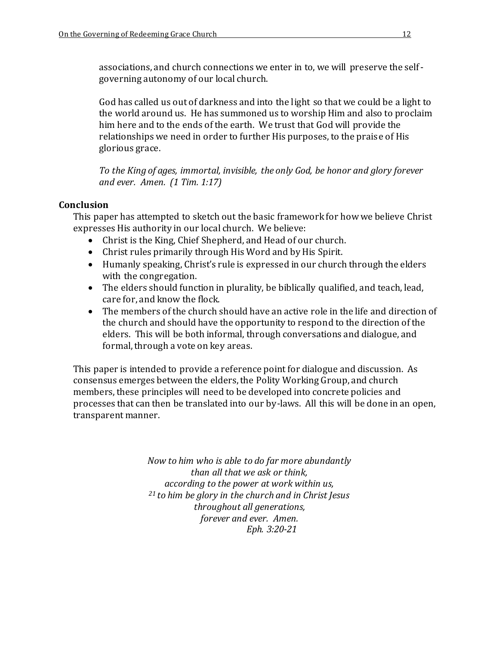associations, and church connections we enter in to, we will preserve the self governing autonomy of our local church.

God has called us out of darkness and into the light so that we could be a light to the world around us. He has summoned us to worship Him and also to proclaim him here and to the ends of the earth. We trust that God will provide the relationships we need in order to further His purposes, to the praise of His glorious grace.

*To the King of ages, immortal, invisible, the only God, be honor and glory forever and ever. Amen. (1 Tim. 1:17)* 

#### **Conclusion**

This paper has attempted to sketch out the basic framework for how we believe Christ expresses His authority in our local church. We believe:

- Christ is the King, Chief Shepherd, and Head of our church.
- Christ rules primarily through His Word and by His Spirit.
- Humanly speaking, Christ's rule is expressed in our church through the elders with the congregation.
- The elders should function in plurality, be biblically qualified, and teach, lead, care for, and know the flock.
- The members of the church should have an active role in the life and direction of the church and should have the opportunity to respond to the direction of the elders. This will be both informal, through conversations and dialogue, and formal, through a vote on key areas.

This paper is intended to provide a reference point for dialogue and discussion. As consensus emerges between the elders, the Polity Working Group, and church members, these principles will need to be developed into concrete policies and processes that can then be translated into our by-laws. All this will be done in an open, transparent manner.

> *Now to him who is able to do far more abundantly than all that we ask or think, according to the power at work within us, <sup>21</sup>to him be glory in the church and in Christ Jesus throughout all generations, forever and ever. Amen. Eph. 3:20-21*